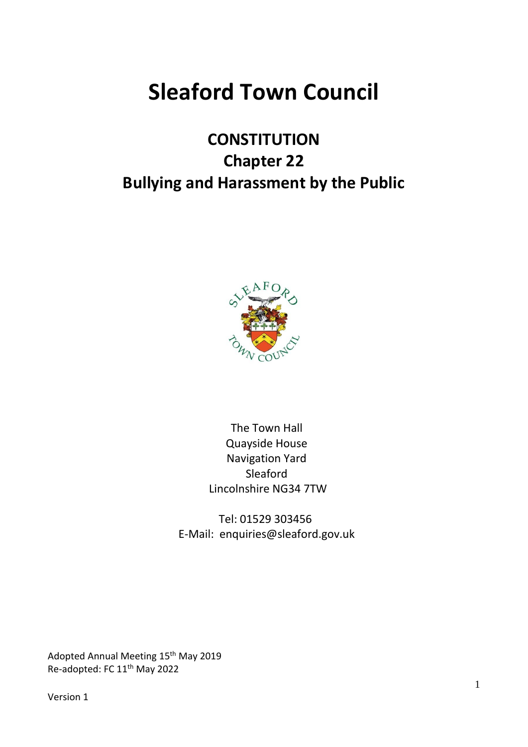# **Sleaford Town Council**

# **CONSTITUTION Chapter 22 Bullying and Harassment by the Public**



The Town Hall Quayside House Navigation Yard Sleaford Lincolnshire NG34 7TW

Tel: 01529 303456 E-Mail: enquiries@sleaford.gov.uk

Adopted Annual Meeting 15<sup>th</sup> May 2019 Re-adopted: FC 11th May 2022